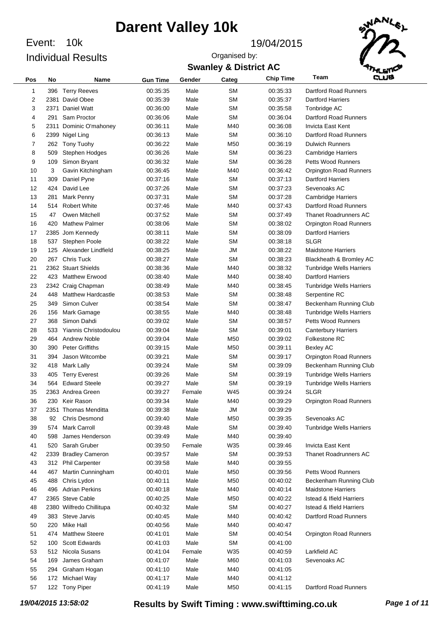Event: 10k Individual Results

#### Event: 19/04/2015

Organised by:



### **Swanley & District AC**

| Pos | No   | Name                      | <b>Gun Time</b> | Gender | Categ     | <b>Chip Time</b> | وسه<br>Team                         |
|-----|------|---------------------------|-----------------|--------|-----------|------------------|-------------------------------------|
| 1   | 396  | <b>Terry Reeves</b>       | 00:35:35        | Male   | SΜ        | 00:35:33         | Dartford Road Runners               |
| 2   | 2381 | David Obee                | 00:35:39        | Male   | <b>SM</b> | 00:35:37         | <b>Dartford Harriers</b>            |
| 3   | 2371 | Daniel Watt               | 00:36:00        | Male   | SΜ        | 00:35:58         | Tonbridge AC                        |
| 4   | 291  | Sam Proctor               | 00:36:06        | Male   | SΜ        | 00:36:04         | Dartford Road Runners               |
| 5   | 2311 | Dominic O'mahoney         | 00:36:11        | Male   | M40       | 00:36:08         | Invicta East Kent                   |
| 6   |      | 2399 Nigel Ling           | 00:36:13        | Male   | SΜ        | 00:36:10         | Dartford Road Runners               |
| 7   | 262  | Tony Tuohy                | 00:36:22        | Male   | M50       | 00:36:19         | <b>Dulwich Runners</b>              |
| 8   | 509  | Stephen Hodges            | 00:36:26        | Male   | SΜ        | 00:36:23         | <b>Cambridge Harriers</b>           |
| 9   | 109  | Simon Bryant              | 00:36:32        | Male   | SΜ        | 00:36:28         | <b>Petts Wood Runners</b>           |
| 10  | 3    | Gavin Kitchingham         | 00:36:45        | Male   | M40       | 00:36:42         | <b>Orpington Road Runners</b>       |
| 11  | 309  | Daniel Pyne               | 00:37:16        | Male   | SΜ        | 00:37:13         | <b>Dartford Harriers</b>            |
| 12  | 424  | David Lee                 | 00:37:26        | Male   | SΜ        | 00:37:23         | Sevenoaks AC                        |
| 13  | 281  | Mark Penny                | 00:37:31        | Male   | SΜ        | 00:37:28         | <b>Cambridge Harriers</b>           |
| 14  | 514  | <b>Robert White</b>       | 00:37:46        | Male   | M40       | 00:37:43         | Dartford Road Runners               |
| 15  | 47   | Owen Mitchell             | 00:37:52        | Male   | SΜ        | 00:37:49         | <b>Thanet Roadrunners AC</b>        |
| 16  | 420  | <b>Mathew Palmer</b>      | 00:38:06        | Male   | SΜ        | 00:38:02         | Orpington Road Runners              |
| 17  | 2385 | Jom Kennedy               | 00:38:11        | Male   | SМ        | 00:38:09         | <b>Dartford Harriers</b>            |
| 18  | 537  | <b>Stephen Poole</b>      | 00:38:22        | Male   | SМ        | 00:38:18         | <b>SLGR</b>                         |
| 19  | 125  | Alexander Lindfield       | 00:38:25        | Male   | <b>JM</b> | 00:38:22         | <b>Maidstone Harriers</b>           |
| 20  | 267  | <b>Chris Tuck</b>         | 00:38:27        | Male   | SΜ        | 00:38:23         | Blackheath & Bromley AC             |
| 21  |      | 2362 Stuart Shields       | 00:38:36        | Male   | M40       | 00:38:32         | <b>Tunbridge Wells Harriers</b>     |
| 22  | 423  | <b>Matthew Erwood</b>     | 00:38:40        | Male   | M40       | 00:38:40         | <b>Dartford Harriers</b>            |
| 23  |      | 2342 Craig Chapman        | 00:38:49        | Male   | M40       | 00:38:45         | <b>Tunbridge Wells Harriers</b>     |
| 24  | 448  | <b>Matthew Hardcastle</b> | 00:38:53        | Male   | SΜ        | 00:38:48         | Serpentine RC                       |
| 25  | 349  | Simon Culver              | 00:38:54        | Male   | SΜ        | 00:38:47         | Beckenham Running Club              |
| 26  | 156  | Mark Gamage               | 00:38:55        | Male   | M40       | 00:38:48         | <b>Tunbridge Wells Harriers</b>     |
| 27  | 368  | Simon Dahdi               | 00:39:02        | Male   | SΜ        | 00:38:57         | <b>Petts Wood Runners</b>           |
| 28  | 533  | Yiannis Christodoulou     | 00:39:04        | Male   | SΜ        | 00:39:01         | <b>Canterbury Harriers</b>          |
| 29  | 464  | <b>Andrew Noble</b>       | 00:39:04        | Male   | M50       | 00:39:02         | Folkestone RC                       |
| 30  | 390  | <b>Peter Griffiths</b>    | 00:39:15        | Male   | M50       | 00:39:11         | <b>Bexley AC</b>                    |
| 31  | 394  | Jason Witcombe            | 00:39:21        | Male   | SΜ        | 00:39:17         | Orpington Road Runners              |
| 32  | 418  | Mark Lally                | 00:39:24        | Male   | SΜ        | 00:39:09         | Beckenham Running Club              |
| 33  | 405  | <b>Terry Everest</b>      | 00:39:26        | Male   | SМ        | 00:39:19         | <b>Tunbridge Wells Harriers</b>     |
| 34  | 564  | <b>Edward Steele</b>      | 00:39:27        | Male   | SΜ        | 00:39:19         | <b>Tunbridge Wells Harriers</b>     |
| 35  |      | 2363 Andrea Green         | 00:39:27        | Female | W45       | 00:39:24         | <b>SLGR</b>                         |
| 36  |      | 230 Keir Rason            | 00:39:34        | Male   | M40       | 00:39:29         | <b>Orpington Road Runners</b>       |
| 37  |      | 2351 Thomas Menditta      | 00:39:38        | Male   | JM        | 00:39:29         |                                     |
| 38  | 92   | <b>Chris Desmond</b>      | 00:39:40        | Male   | M50       | 00:39:35         | Sevenoaks AC                        |
| 39  | 574  | <b>Mark Carroll</b>       | 00:39:48        | Male   | <b>SM</b> | 00:39:40         | <b>Tunbridge Wells Harriers</b>     |
| 40  | 598  | James Henderson           | 00:39:49        | Male   | M40       | 00:39:40         |                                     |
| 41  | 520  | Sarah Gruber              | 00:39:50        | Female | W35       | 00:39:46         | Invicta East Kent                   |
| 42  | 2339 | <b>Bradley Cameron</b>    | 00:39:57        | Male   | SΜ        | 00:39:53         | <b>Thanet Roadrunners AC</b>        |
| 43  | 312  | <b>Phil Carpenter</b>     | 00:39:58        | Male   | M40       | 00:39:55         |                                     |
| 44  | 467  | Martin Cunningham         | 00:40:01        | Male   | M50       | 00:39:56         | <b>Petts Wood Runners</b>           |
| 45  | 488  | Chris Lydon               | 00:40:11        | Male   | M50       | 00:40:02         | Beckenham Running Club              |
| 46  | 496  | <b>Adrian Perkins</b>     | 00:40:18        | Male   | M40       | 00:40:14         | <b>Maidstone Harriers</b>           |
| 47  |      | 2365 Steve Cable          | 00:40:25        | Male   | M50       | 00:40:22         | <b>Istead &amp; Ifield Harriers</b> |
| 48  |      | 2380 Wilfredo Chillitupa  | 00:40:32        | Male   | SΜ        | 00:40:27         | <b>Istead &amp; Ifield Harriers</b> |
| 49  |      | 383 Steve Jarvis          | 00:40:45        | Male   | M40       | 00:40:42         | Dartford Road Runners               |
| 50  | 220  | Mike Hall                 | 00:40:56        | Male   | M40       | 00:40:47         |                                     |
| 51  | 474  | <b>Matthew Steere</b>     | 00:41:01        | Male   | SΜ        | 00:40:54         | <b>Orpington Road Runners</b>       |
| 52  | 100  | <b>Scott Edwards</b>      | 00:41:03        | Male   | <b>SM</b> | 00:41:00         |                                     |
| 53  | 512  | Nicola Susans             | 00:41:04        | Female | W35       | 00:40:59         | Larkfield AC                        |
| 54  | 169  | James Graham              | 00:41:07        | Male   | M60       | 00:41:03         | Sevenoaks AC                        |
| 55  | 294  | Graham Hogan              | 00:41:10        | Male   | M40       | 00:41:05         |                                     |
| 56  | 172  | Michael Way               | 00:41:17        | Male   | M40       | 00:41:12         |                                     |
| 57  |      | 122 Tony Piper            | 00:41:19        | Male   | M50       | 00:41:15         | Dartford Road Runners               |
|     |      |                           |                 |        |           |                  |                                     |

*19/04/2015 13:58:02* **Results by Swift Timing : www.swifttiming.co.uk** *Page 1 of 11*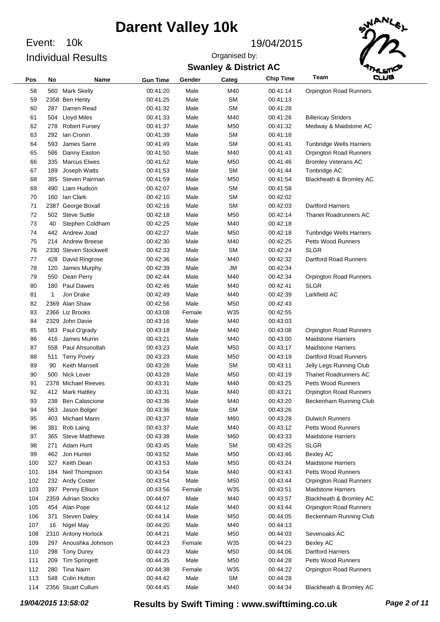Event: 10k Individual Results

#### Event: 19/04/2015

**Swanley & District AC** Organised by:



| Pos | No  | <b>Name</b>           | <b>Gun Time</b> | Gender | Categ     | <b>Chip Time</b> | Team<br>وسته                    |
|-----|-----|-----------------------|-----------------|--------|-----------|------------------|---------------------------------|
| 58  | 560 | <b>Mark Skelly</b>    | 00:41:20        | Male   | M40       | 00:41:14         | <b>Orpington Road Runners</b>   |
| 59  |     | 2358 Ben Henty        | 00:41:25        | Male   | <b>SM</b> | 00:41:13         |                                 |
| 60  | 287 | Darren Read           | 00:41:32        | Male   | SM        | 00:41:28         |                                 |
| 61  | 504 | <b>Lloyd Miles</b>    | 00:41:33        | Male   | M40       | 00:41:26         | <b>Billericay Striders</b>      |
| 62  | 278 | <b>Robert Fursey</b>  | 00:41:37        | Male   | M50       | 00:41:32         | Medway & Maidstone AC           |
| 63  | 292 | lan Cronin            | 00:41:39        | Male   | <b>SM</b> | 00:41:18         |                                 |
| 64  | 593 | James Sarre           | 00:41:49        | Male   | SM        | 00:41:41         | <b>Tunbridge Wells Harriers</b> |
| 65  | 586 | Danny Easton          | 00:41:50        | Male   | M40       | 00:41:43         | Orpington Road Runners          |
| 66  | 335 | <b>Marcus Elwes</b>   | 00:41:52        | Male   | M50       | 00:41:46         | <b>Bromley Veterans AC</b>      |
| 67  | 189 | Joseph Watts          | 00:41:53        | Male   | <b>SM</b> | 00:41:44         | Tonbridge AC                    |
| 68  | 385 | Steven Pairman        | 00:41:59        | Male   | M50       | 00:41:54         | Blackheath & Bromley AC         |
| 69  | 490 | Liam Hudson           | 00:42:07        | Male   | SM        | 00:41:58         |                                 |
| 70  | 160 | lan Clark             | 00:42:10        | Male   | SM        | 00:42:02         |                                 |
| 71  |     | 2387 George Boxall    | 00:42:16        | Male   | SM        | 00:42:03         | <b>Dartford Harriers</b>        |
| 72  | 502 | <b>Steve Suttle</b>   | 00:42:18        | Male   | M50       | 00:42:14         | <b>Thanet Roadrunners AC</b>    |
| 73  | 40  | Stephen Coldham       | 00:42:25        | Male   | M40       | 00:42:18         |                                 |
| 74  | 442 | Andrew Joad           | 00:42:27        | Male   | M50       | 00:42:18         | <b>Tunbridge Wells Harriers</b> |
| 75  | 214 | <b>Andrew Breese</b>  | 00:42:30        | Male   | M40       | 00:42:25         | <b>Petts Wood Runners</b>       |
| 76  |     | 2330 Steven Stockwell | 00:42:33        | Male   | SM        | 00:42:24         | SLGR                            |
| 77  | 428 | David Ringrose        | 00:42:36        | Male   | M40       | 00:42:32         | Dartford Road Runners           |
| 78  | 120 | James Murphy          | 00:42:39        | Male   | JM        | 00:42:34         |                                 |
| 79  | 550 | Dean Perry            | 00:42:44        | Male   | M40       | 00:42:34         | Orpington Road Runners          |
| 80  | 180 | <b>Paul Dawes</b>     | 00:42:46        | Male   | M40       | 00:42:41         | SLGR                            |
| 81  | 1   | Jon Drake             | 00:42:49        | Male   | M40       | 00:42:39         | Larkfield AC                    |
| 82  |     | 2369 Alan Shaw        | 00:42:56        | Male   | M50       | 00:42:43         |                                 |
| 83  |     | 2366 Liz Brooks       | 00:43:08        | Female | W35       | 00:42:55         |                                 |
| 84  |     | 2329 John Davie       | 00:43:16        | Male   | M40       | 00:43:03         |                                 |
| 85  | 583 | Paul O'grady          | 00:43:18        | Male   | M40       | 00:43:08         | Orpington Road Runners          |
| 86  | 416 | James Murrin          | 00:43:21        | Male   | M40       | 00:43:00         | <b>Maidstone Harriers</b>       |
| 87  | 558 | Paul Ahsunollah       | 00:43:23        | Male   | M50       | 00:43:17         | <b>Maidstone Harriers</b>       |
| 88  | 511 | <b>Terry Povey</b>    | 00:43:23        | Male   | M50       | 00:43:19         | Dartford Road Runners           |
| 89  | 90  | Keith Mansell         | 00:43:26        | Male   | SM        | 00:43:11         | Jelly Legs Running Club         |
| 90  | 500 | Nick Lever            | 00:43:28        | Male   | M50       | 00:43:19         | <b>Thanet Roadrunners AC</b>    |
| 91  |     | 2378 Michael Reeves   | 00:43:31        | Male   | M40       | 00:43:25         | <b>Petts Wood Runners</b>       |
| 92  | 412 | Mark Hattley          | 00:43:31        | Male   | M40       | 00:43:21         | Orpington Road Runners          |
| 93  | 238 | <b>Ben Calascione</b> | 00:43:36        | Male   | M40       | 00:43:20         | Beckenham Running Club          |
| 94  | 563 | Jason Bolger          | 00:43:36        | Male   | <b>SM</b> | 00:43:26         |                                 |
| 95  | 403 | Michael Mann          | 00:43:37        | Male   | M60       | 00:43:28         | <b>Dulwich Runners</b>          |
| 96  | 381 | Rob Laing             | 00:43:37        | Male   | M40       | 00:43:12         | <b>Petts Wood Runners</b>       |
| 97  | 365 | <b>Steve Matthews</b> | 00:43:38        | Male   | M60       | 00:43:33         | <b>Maidstone Harriers</b>       |
| 98  | 271 | Adam Hunt             | 00:43:45        | Male   | <b>SM</b> | 00:43:25         | <b>SLGR</b>                     |
| 99  | 462 | Jon Hunter            | 00:43:52        | Male   | M50       | 00:43:46         | <b>Bexley AC</b>                |
| 100 | 327 | Keith Dean            | 00:43:53        | Male   | M50       | 00:43:24         | <b>Maidstone Harriers</b>       |
| 101 | 184 | Neil Thompson         | 00:43:54        | Male   | M40       | 00:43:43         | <b>Petts Wood Runners</b>       |
| 102 | 232 | <b>Andy Coster</b>    | 00:43:54        | Male   | M50       | 00:43:44         | Orpington Road Runners          |
| 103 | 397 | Penny Ellison         | 00:43:56        | Female | W35       | 00:43:51         | <b>Maidstone Harriers</b>       |
| 104 |     | 2359 Adrian Stocks    | 00:44:07        | Male   | M40       | 00:43:57         | Blackheath & Bromley AC         |
| 105 | 454 | Alan Pope             | 00:44:12        | Male   | M40       | 00:43:44         | Orpington Road Runners          |
| 106 | 371 | <b>Steven Daley</b>   | 00:44:14        | Male   | M50       | 00:44:05         | Beckenham Running Club          |
| 107 | 16  | Nigel May             | 00:44:20        | Male   | M40       | 00:44:13         |                                 |
| 108 |     | 2310 Antony Horlock   | 00:44:21        | Male   | M50       | 00:44:03         | Sevenoaks AC                    |
| 109 | 297 | Anoushka Johnson      | 00:44:23        | Female | W35       | 00:44:23         | <b>Bexley AC</b>                |
| 110 | 298 | <b>Tony Durey</b>     | 00:44:23        | Male   | M50       | 00:44:06         | <b>Dartford Harriers</b>        |
| 111 | 209 | <b>Tim Springett</b>  | 00:44:35        | Male   | M50       | 00:44:28         | <b>Petts Wood Runners</b>       |
| 112 | 280 | <b>Tina Nairn</b>     | 00:44:38        | Female | W35       | 00:44:22         | Orpington Road Runners          |
| 113 | 548 | Colin Hutton          | 00:44:42        | Male   | <b>SM</b> | 00:44:28         |                                 |
| 114 |     | 2356 Stuart Cullum    | 00:44:45        | Male   | M40       | 00:44:34         | Blackheath & Bromley AC         |
|     |     |                       |                 |        |           |                  |                                 |

*19/04/2015 13:58:02* **Results by Swift Timing : www.swifttiming.co.uk** *Page 2 of 11*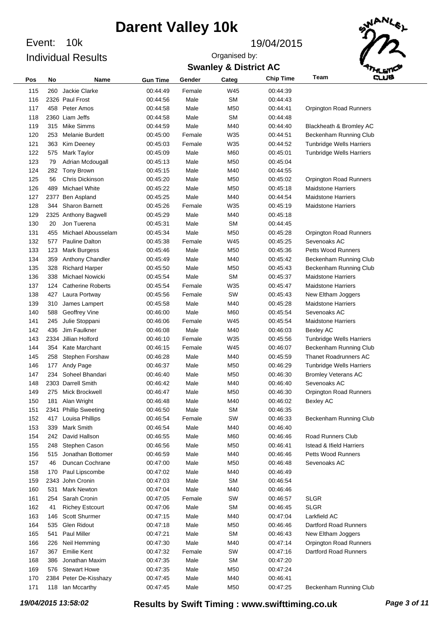Event: 10k Individual Results

#### Event: 19/04/2015

**Swanley & District AC** Organised by:



| Pos | No   | <b>Name</b>              | <b>Gun Time</b> | Gender | Categ     | <b>Chip Time</b> | Team                                | وسام |
|-----|------|--------------------------|-----------------|--------|-----------|------------------|-------------------------------------|------|
| 115 | 260  | Jackie Clarke            | 00:44:49        | Female | W45       | 00:44:39         |                                     |      |
| 116 |      | 2326 Paul Frost          | 00:44:56        | Male   | <b>SM</b> | 00:44:43         |                                     |      |
| 117 | 458  | Peter Amos               | 00:44:58        | Male   | M50       | 00:44:41         | <b>Orpington Road Runners</b>       |      |
| 118 |      | 2360 Liam Jeffs          | 00:44:58        | Male   | <b>SM</b> | 00:44:48         |                                     |      |
| 119 | 315  | <b>Mike Simms</b>        | 00:44:59        | Male   | M40       | 00:44:40         | Blackheath & Bromley AC             |      |
| 120 | 253  | Melanie Burdett          | 00:45:00        | Female | W35       | 00:44:51         | Beckenham Running Club              |      |
| 121 | 363  | Kim Deeney               | 00:45:03        | Female | W35       | 00:44:52         | <b>Tunbridge Wells Harriers</b>     |      |
| 122 | 575  | Mark Taylor              | 00:45:09        | Male   | M60       | 00:45:01         | <b>Tunbridge Wells Harriers</b>     |      |
| 123 | 79   | Adrian Mcdougall         | 00:45:13        | Male   | M50       | 00:45:04         |                                     |      |
| 124 | 282  | Tony Brown               | 00:45:15        | Male   | M40       | 00:44:55         |                                     |      |
| 125 | 56   | Chris Dickinson          | 00:45:20        | Male   | M50       | 00:45:02         | <b>Orpington Road Runners</b>       |      |
| 126 | 489  | <b>Michael White</b>     | 00:45:22        | Male   | M50       | 00:45:18         | <b>Maidstone Harriers</b>           |      |
| 127 | 2377 | <b>Ben Aspland</b>       | 00:45:25        | Male   | M40       | 00:44:54         | <b>Maidstone Harriers</b>           |      |
| 128 | 344  | <b>Sharon Barnett</b>    | 00:45:26        | Female | W35       | 00:45:19         | <b>Maidstone Harriers</b>           |      |
| 129 |      | 2325 Anthony Bagwell     | 00:45:29        | Male   | M40       | 00:45:18         |                                     |      |
| 130 | 20   | Jon Tuerena              | 00:45:31        | Male   | <b>SM</b> | 00:44:45         |                                     |      |
| 131 | 455  | Michael Abousselam       | 00:45:34        | Male   | M50       | 00:45:28         | <b>Orpington Road Runners</b>       |      |
| 132 | 577  | Pauline Dalton           | 00:45:38        | Female | W45       | 00:45:25         | Sevenoaks AC                        |      |
| 133 | 123  | <b>Mark Burgess</b>      | 00:45:46        | Male   | M50       | 00:45:36         | <b>Petts Wood Runners</b>           |      |
| 134 | 359  | Anthony Chandler         | 00:45:49        | Male   | M40       | 00:45:42         | Beckenham Running Club              |      |
| 135 | 328  | <b>Richard Harper</b>    | 00:45:50        | Male   | M50       | 00:45:43         | Beckenham Running Club              |      |
| 136 | 338  | Michael Nowicki          | 00:45:54        | Male   | <b>SM</b> | 00:45:37         | <b>Maidstone Harriers</b>           |      |
| 137 | 124  | <b>Catherine Roberts</b> | 00:45:54        | Female | W35       | 00:45:47         | <b>Maidstone Harriers</b>           |      |
| 138 | 427  | Laura Portway            | 00:45:56        | Female | SW        | 00:45:43         | New Eltham Joggers                  |      |
| 139 | 310  | James Lampert            | 00:45:58        | Male   | M40       | 00:45:28         | <b>Maidstone Harriers</b>           |      |
| 140 | 588  | Geoffrey Vine            | 00:46:00        | Male   | M60       | 00:45:54         | Sevenoaks AC                        |      |
| 141 | 245  | Julie Stoppani           | 00:46:06        | Female | W45       | 00:45:54         | <b>Maidstone Harriers</b>           |      |
| 142 | 436  | Jim Faulkner             | 00:46:08        | Male   | M40       | 00:46:03         | <b>Bexley AC</b>                    |      |
| 143 |      | 2334 Jillian Holford     | 00:46:10        | Female | W35       | 00:45:56         | <b>Tunbridge Wells Harriers</b>     |      |
| 144 | 354  | Kate Marchant            | 00:46:15        | Female | W45       | 00:46:07         | Beckenham Running Club              |      |
| 145 | 258  | Stephen Forshaw          | 00:46:28        | Male   | M40       | 00:45:59         | <b>Thanet Roadrunners AC</b>        |      |
| 146 | 177  | Andy Page                | 00:46:37        | Male   | M50       | 00:46:29         | <b>Tunbridge Wells Harriers</b>     |      |
| 147 | 234  | Soheel Bhandari          | 00:46:40        | Male   | M50       | 00:46:30         | <b>Bromley Veterans AC</b>          |      |
| 148 |      | 2303 Darrell Smith       | 00:46:42        | Male   | M40       | 00:46:40         | Sevenoaks AC                        |      |
| 149 | 275  | Mick Brockwell           | 00:46:47        | Male   | M50       | 00:46:30         | <b>Orpington Road Runners</b>       |      |
| 150 | 181  | Alan Wright              | 00:46:48        | Male   | M40       | 00:46:02         | <b>Bexley AC</b>                    |      |
| 151 |      | 2341 Phillip Sweeting    | 00:46:50        | Male   | <b>SM</b> | 00:46:35         |                                     |      |
| 152 | 417  | Louisa Phillips          | 00:46:54        | Female | SW        | 00:46:33         | Beckenham Running Club              |      |
| 153 | 339  | Mark Smith               | 00:46:54        | Male   | M40       | 00:46:40         |                                     |      |
| 154 | 242  | David Hallson            | 00:46:55        | Male   | M60       | 00:46:46         | Road Runners Club                   |      |
| 155 | 248  | Stephen Cason            | 00:46:56        | Male   | M50       | 00:46:41         | <b>Istead &amp; Ifield Harriers</b> |      |
| 156 | 515  | Jonathan Bottomer        | 00:46:59        | Male   | M40       | 00:46:46         | Petts Wood Runners                  |      |
| 157 | 46   | Duncan Cochrane          | 00:47:00        | Male   | M50       | 00:46:48         | Sevenoaks AC                        |      |
| 158 | 170  | Paul Lipscombe           | 00:47:02        | Male   | M40       | 00:46:49         |                                     |      |
| 159 |      | 2343 John Cronin         | 00:47:03        | Male   | <b>SM</b> | 00:46:54         |                                     |      |
| 160 | 531  | <b>Mark Newton</b>       | 00:47:04        | Male   | M40       | 00:46:46         |                                     |      |
| 161 | 254  | Sarah Cronin             | 00:47:05        | Female | SW        | 00:46:57         | <b>SLGR</b>                         |      |
| 162 | 41   | <b>Richey Estcourt</b>   | 00:47:06        | Male   | <b>SM</b> | 00:46:45         | <b>SLGR</b>                         |      |
| 163 | 146  | Scott Shurmer            | 00:47:15        | Male   | M40       | 00:47:04         | Larkfield AC                        |      |
| 164 | 535  | Glen Ridout              | 00:47:18        | Male   | M50       | 00:46:46         | Dartford Road Runners               |      |
| 165 | 541  | Paul Miller              | 00:47:21        | Male   | <b>SM</b> | 00:46:43         | New Eltham Joggers                  |      |
| 166 | 226  | Neil Hemming             | 00:47:30        | Male   | M40       | 00:47:14         | Orpington Road Runners              |      |
| 167 | 367  | <b>Emilie Kent</b>       | 00:47:32        | Female | SW        | 00:47:16         | Dartford Road Runners               |      |
| 168 | 386  | Jonathan Maxim           | 00:47:35        | Male   | <b>SM</b> | 00:47:20         |                                     |      |
| 169 | 576  | <b>Stewart Howe</b>      | 00:47:35        | Male   | M50       | 00:47:24         |                                     |      |
| 170 |      | 2384 Peter De-Kisshazy   | 00:47:45        | Male   | M40       | 00:46:41         |                                     |      |
| 171 | 118  | lan Mccarthy             | 00:47:45        | Male   | M50       | 00:47:25         | Beckenham Running Club              |      |

*19/04/2015 13:58:02* **Results by Swift Timing : www.swifttiming.co.uk** *Page 3 of 11*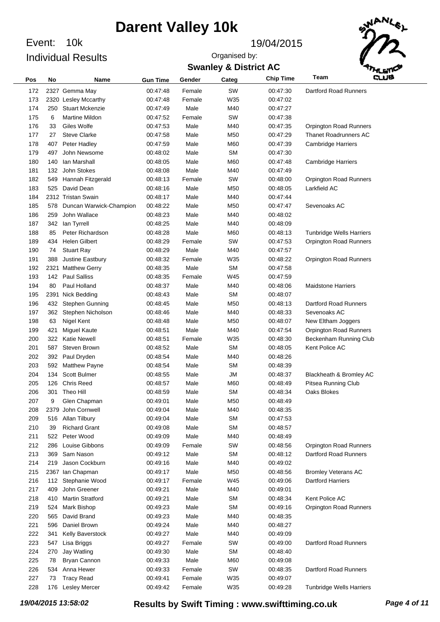Event: 10k Individual Results

#### Event: 19/04/2015

**Swanley & District AC** Organised by:



| Pos | No  | Name                    | <b>Gun Time</b> | Gender | Categ           | <b>Chip Time</b> | وسته<br>Team                    |
|-----|-----|-------------------------|-----------------|--------|-----------------|------------------|---------------------------------|
| 172 |     | 2327 Gemma May          | 00:47:48        | Female | SW              | 00:47:30         | Dartford Road Runners           |
| 173 |     | 2320 Lesley Mccarthy    | 00:47:48        | Female | W35             | 00:47:02         |                                 |
| 174 | 250 | <b>Stuart Mckenzie</b>  | 00:47:49        | Male   | M40             | 00:47:27         |                                 |
| 175 | 6   | Martine Mildon          | 00:47:52        | Female | SW              | 00:47:38         |                                 |
| 176 | 33  | Giles Wolfe             | 00:47:53        | Male   | M40             | 00:47:35         | <b>Orpington Road Runners</b>   |
| 177 | 27  | <b>Steve Clarke</b>     | 00:47:58        | Male   | M <sub>50</sub> | 00:47:29         | <b>Thanet Roadrunners AC</b>    |
| 178 | 407 | Peter Hadley            | 00:47:59        | Male   | M60             | 00:47:39         | <b>Cambridge Harriers</b>       |
| 179 | 497 | John Newsome            | 00:48:02        | Male   | <b>SM</b>       | 00:47:30         |                                 |
| 180 | 140 | lan Marshall            | 00:48:05        | Male   | M60             | 00:47:48         | <b>Cambridge Harriers</b>       |
| 181 | 132 | John Stokes             | 00:48:08        | Male   | M40             | 00:47:49         |                                 |
| 182 | 549 | Hannah Fitzgerald       | 00:48:13        | Female | SW              | 00:48:00         | <b>Orpington Road Runners</b>   |
| 183 | 525 | David Dean              | 00:48:16        | Male   | M <sub>50</sub> | 00:48:05         | Larkfield AC                    |
| 184 |     | 2312 Tristan Swain      | 00:48:17        | Male   | M40             | 00:47:44         |                                 |
| 185 | 578 | Duncan Warwick-Champion | 00:48:22        | Male   | M <sub>50</sub> | 00:47:47         | Sevenoaks AC                    |
| 186 | 259 | John Wallace            | 00:48:23        | Male   | M40             | 00:48:02         |                                 |
| 187 | 342 | lan Tyrrell             | 00:48:25        | Male   | M40             | 00:48:09         |                                 |
| 188 | 85  | Peter Richardson        | 00:48:28        | Male   | M60             | 00:48:13         | <b>Tunbridge Wells Harriers</b> |
| 189 | 434 | <b>Helen Gilbert</b>    | 00:48:29        | Female | SW              | 00:47:53         | <b>Orpington Road Runners</b>   |
| 190 | 74  | <b>Stuart Ray</b>       | 00:48:29        | Male   | M40             | 00:47:57         |                                 |
| 191 | 388 | Justine Eastbury        | 00:48:32        | Female | W35             | 00:48:22         | <b>Orpington Road Runners</b>   |
| 192 |     | 2321 Matthew Gerry      | 00:48:35        | Male   | <b>SM</b>       | 00:47:58         |                                 |
| 193 | 142 | <b>Paul Salliss</b>     | 00:48:35        | Female | W45             | 00:47:59         |                                 |
| 194 | 80  | Paul Holland            | 00:48:37        | Male   | M40             | 00:48:06         | <b>Maidstone Harriers</b>       |
| 195 |     | 2391 Nick Bedding       | 00:48:43        | Male   | <b>SM</b>       | 00:48:07         |                                 |
| 196 | 432 | Stephen Gunning         | 00:48:45        | Male   | M <sub>50</sub> | 00:48:13         | Dartford Road Runners           |
| 197 | 362 | Stephen Nicholson       | 00:48:46        | Male   | M40             | 00:48:33         | Sevenoaks AC                    |
| 198 | 63  | Nigel Kent              | 00:48:48        | Male   | M <sub>50</sub> | 00:48:07         | New Eltham Joggers              |
| 199 | 421 | <b>Miguel Kaute</b>     | 00:48:51        | Male   | M40             | 00:47:54         | Orpington Road Runners          |
| 200 | 322 | <b>Katie Newell</b>     | 00:48:51        | Female | W35             | 00:48:30         | Beckenham Running Club          |
| 201 | 587 | Steven Brown            | 00:48:52        | Male   | <b>SM</b>       | 00:48:05         | Kent Police AC                  |
| 202 | 392 | Paul Dryden             | 00:48:54        | Male   | M40             | 00:48:26         |                                 |
| 203 | 592 | Matthew Payne           | 00:48:54        | Male   | <b>SM</b>       | 00:48:39         |                                 |
| 204 | 134 | <b>Scott Bulmer</b>     | 00:48:55        | Male   | JМ              | 00:48:37         | Blackheath & Bromley AC         |
| 205 | 126 | <b>Chris Reed</b>       | 00:48:57        | Male   | M60             | 00:48:49         | <b>Pitsea Running Club</b>      |
| 206 | 301 | Theo Hill               | 00:48:59        | Male   | <b>SM</b>       | 00:48:34         | Oaks Blokes                     |
| 207 | 9   | Glen Chapman            | 00:49:01        | Male   | M <sub>50</sub> | 00:48:49         |                                 |
| 208 |     | 2379 John Cornwell      | 00:49:04        | Male   | M40             | 00:48:35         |                                 |
| 209 | 516 | Allan Tilbury           | 00:49:04        | Male   | <b>SM</b>       | 00:47:53         |                                 |
| 210 | 39  | <b>Richard Grant</b>    | 00:49:08        | Male   | <b>SM</b>       | 00:48:57         |                                 |
| 211 | 522 | Peter Wood              | 00:49:09        | Male   | M40             | 00:48:49         |                                 |
| 212 | 286 | Louise Gibbons          | 00:49:09        | Female | SW              | 00:48:56         | <b>Orpington Road Runners</b>   |
| 213 | 369 | Sam Nason               | 00:49:12        | Male   | <b>SM</b>       | 00:48:12         | <b>Dartford Road Runners</b>    |
| 214 | 219 | Jason Cockburn          | 00:49:16        | Male   | M40             | 00:49:02         |                                 |
| 215 |     | 2367 Ian Chapman        | 00:49:17        | Male   | M50             | 00:48:56         | <b>Bromley Veterans AC</b>      |
| 216 | 112 | Stephanie Wood          | 00:49:17        | Female | W45             | 00:49:06         | <b>Dartford Harriers</b>        |
| 217 | 409 | John Greener            | 00:49:21        | Male   | M40             | 00:49:01         |                                 |
| 218 | 410 | <b>Martin Stratford</b> | 00:49:21        | Male   | <b>SM</b>       | 00:48:34         | Kent Police AC                  |
| 219 | 524 | Mark Bishop             | 00:49:23        | Male   | <b>SM</b>       | 00:49:16         | Orpington Road Runners          |
| 220 | 565 | David Brand             | 00:49:23        | Male   | M40             | 00:48:35         |                                 |
| 221 | 596 | Daniel Brown            | 00:49:24        | Male   | M40             | 00:48:27         |                                 |
| 222 | 341 | Kelly Baverstock        | 00:49:27        | Male   | M40             | 00:49:09         |                                 |
| 223 | 547 | Lisa Briggs             | 00:49:27        | Female | SW              | 00:49:00         | Dartford Road Runners           |
| 224 | 270 | Jay Watling             | 00:49:30        | Male   | <b>SM</b>       | 00:48:40         |                                 |
| 225 | 78  | Bryan Cannon            | 00:49:33        | Male   | M60             | 00:49:08         |                                 |
| 226 | 534 | Anna Hewer              | 00:49:33        | Female | SW              | 00:48:35         | Dartford Road Runners           |
| 227 | 73  | <b>Tracy Read</b>       | 00:49:41        | Female | W35             | 00:49:07         |                                 |
| 228 | 176 | <b>Lesley Mercer</b>    | 00:49:42        | Female | W35             | 00:49:28         | <b>Tunbridge Wells Harriers</b> |
|     |     |                         |                 |        |                 |                  |                                 |

*19/04/2015 13:58:02* **Results by Swift Timing : www.swifttiming.co.uk** *Page 4 of 11*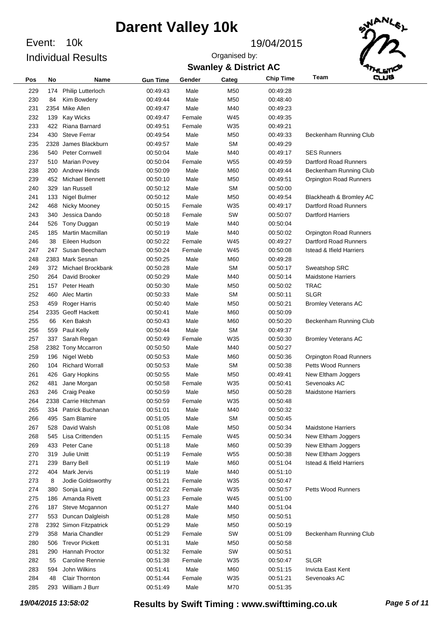Event: 10k Individual Results

#### Event: 19/04/2015

**Swanley & District AC** Organised by:



| Pos | No  | <b>Name</b>              | <b>Gun Time</b> | Gender | Categ     | <b>Chip Time</b> | وسه<br>Team                         |
|-----|-----|--------------------------|-----------------|--------|-----------|------------------|-------------------------------------|
| 229 | 174 | <b>Philip Lutterloch</b> | 00:49:43        | Male   | M50       | 00:49:28         |                                     |
| 230 | 84  | Kim Bowdery              | 00:49:44        | Male   | M50       | 00:48:40         |                                     |
| 231 |     | 2354 Mike Allen          | 00:49:47        | Male   | M40       | 00:49:23         |                                     |
| 232 | 139 | <b>Kay Wicks</b>         | 00:49:47        | Female | W45       | 00:49:35         |                                     |
| 233 | 422 | Riana Barnard            | 00:49:51        | Female | W35       | 00:49:21         |                                     |
| 234 | 430 | <b>Steve Ferrar</b>      | 00:49.54        | Male   | M50       | 00:49:33         | Beckenham Running Club              |
| 235 |     | 2328 James Blackburn     | 00:49:57        | Male   | <b>SM</b> | 00:49:29         |                                     |
| 236 | 540 | Peter Cornwell           | 00:50:04        | Male   | M40       | 00:49:17         | <b>SES Runners</b>                  |
| 237 | 510 | <b>Marian Povey</b>      | 00:50:04        | Female | W55       | 00:49:59         | <b>Dartford Road Runners</b>        |
| 238 | 200 | <b>Andrew Hinds</b>      | 00:50:09        | Male   | M60       | 00:49:44         | Beckenham Running Club              |
| 239 | 452 | <b>Michael Bennett</b>   | 00:50:10        | Male   | M50       | 00:49:51         | <b>Orpington Road Runners</b>       |
| 240 | 329 | lan Russell              | 00:50:12        | Male   | <b>SM</b> | 00:50:00         |                                     |
| 241 | 133 | Nigel Bulmer             | 00:50:12        | Male   | M50       | 00:49:54         | Blackheath & Bromley AC             |
| 242 | 468 | Nicky Mooney             | 00:50:15        | Female | W35       | 00:49:17         | Dartford Road Runners               |
| 243 | 340 | Jessica Dando            | 00:50:18        | Female | SW        | 00:50:07         | <b>Dartford Harriers</b>            |
| 244 | 526 | Tony Duggan              | 00:50:19        | Male   | M40       | 00:50:04         |                                     |
| 245 | 185 | Martin Macmillan         | 00:50:19        | Male   | M40       | 00:50:02         | <b>Orpington Road Runners</b>       |
| 246 | 38  | Eileen Hudson            | 00:50:22        | Female | W45       | 00:49:27         | <b>Dartford Road Runners</b>        |
| 247 | 247 | Susan Beecham            | 00:50:24        | Female | W45       | 00:50:08         | <b>Istead &amp; Ifield Harriers</b> |
| 248 |     | 2383 Mark Sesnan         | 00:50:25        | Male   | M60       | 00:49:28         |                                     |
| 249 |     | 372 Michael Brockbank    | 00:50:28        | Male   | <b>SM</b> | 00:50:17         | Sweatshop SRC                       |
| 250 | 264 | David Brooker            | 00:50:29        | Male   | M40       | 00:50:14         | <b>Maidstone Harriers</b>           |
| 251 | 157 | Peter Heath              | 00:50:30        | Male   | M50       | 00:50:02         | <b>TRAC</b>                         |
| 252 | 460 | Alec Martin              | 00:50:33        | Male   | <b>SM</b> | 00:50:11         | <b>SLGR</b>                         |
| 253 | 459 | Roger Harris             | 00:50:40        | Male   | M50       | 00:50:21         | <b>Bromley Veterans AC</b>          |
| 254 |     | 2335 Geoff Hackett       | 00:50:41        | Male   | M60       | 00:50:09         |                                     |
| 255 | 66  | Ken Baksh                | 00:50:43        | Male   | M60       | 00:50:20         | Beckenham Running Club              |
| 256 | 559 | Paul Kelly               | 00:50:44        | Male   | <b>SM</b> | 00:49:37         |                                     |
| 257 | 337 | Sarah Regan              | 00:50:49        | Female | W35       | 00:50:30         | <b>Bromley Veterans AC</b>          |
| 258 |     | 2382 Tony Mccarron       | 00:50:50        | Male   | M40       | 00:50:27         |                                     |
| 259 | 196 | Nigel Webb               | 00:50:53        | Male   | M60       | 00:50:36         | <b>Orpington Road Runners</b>       |
| 260 | 104 | <b>Richard Worrall</b>   | 00:50:53        | Male   | <b>SM</b> | 00:50:38         | <b>Petts Wood Runners</b>           |
| 261 | 426 | <b>Gary Hopkins</b>      | 00:50:55        | Male   | M50       | 00:49:41         | New Eltham Joggers                  |
| 262 | 481 | Jane Morgan              | 00:50:58        | Female | W35       | 00:50:41         | Sevenoaks AC                        |
| 263 | 246 | Craig Peake              | 00:50:59        | Male   | M50       | 00:50:28         | <b>Maidstone Harriers</b>           |
| 264 |     | 2338 Carrie Hitchman     | 00:50:59        | Female | W35       | 00:50:48         |                                     |
| 265 | 334 | Patrick Buchanan         | 00:51:01        | Male   | M40       | 00:50:32         |                                     |
| 266 | 495 | Sam Blamire              | 00:51:05        | Male   | <b>SM</b> | 00:50:45         |                                     |
| 267 | 528 | David Walsh              | 00:51:08        | Male   | M50       | 00:50:34         | <b>Maidstone Harriers</b>           |
| 268 | 545 | Lisa Crittenden          | 00:51:15        | Female | W45       | 00:50:34         | New Eltham Joggers                  |
| 269 | 433 | Peter Cane               | 00:51:18        | Male   | M60       | 00:50:39         | New Eltham Joggers                  |
| 270 | 319 | Julie Unitt              | 00:51:19        | Female | W55       | 00:50:38         | New Eltham Joggers                  |
| 271 | 239 | <b>Barry Bell</b>        | 00:51:19        | Male   | M60       | 00:51:04         | <b>Istead &amp; Ifield Harriers</b> |
| 272 | 404 | Mark Jervis              | 00:51:19        | Male   | M40       | 00:51:10         |                                     |
| 273 | 8   | Jodie Goldsworthy        | 00:51:21        | Female | W35       | 00:50:47         |                                     |
| 274 | 380 | Sonja Laing              | 00:51:22        | Female | W35       | 00:50:57         | <b>Petts Wood Runners</b>           |
| 275 | 186 | Amanda Rivett            | 00:51:23        | Female | W45       | 00:51:00         |                                     |
| 276 | 187 | Steve Mcgannon           | 00:51:27        | Male   | M40       | 00:51:04         |                                     |
| 277 | 553 | Duncan Dalgleish         | 00:51:28        | Male   | M50       | 00:50:51         |                                     |
| 278 |     | 2392 Simon Fitzpatrick   | 00:51:29        | Male   | M50       | 00:50:19         |                                     |
| 279 | 358 | Maria Chandler           | 00:51:29        | Female | SW        | 00:51:09         | Beckenham Running Club              |
| 280 | 506 | <b>Trevor Pickett</b>    | 00:51:31        | Male   | M50       | 00:50:58         |                                     |
| 281 | 290 | Hannah Proctor           | 00:51:32        | Female | SW        | 00:50:51         |                                     |
| 282 | 55  | <b>Caroline Rennie</b>   | 00:51:38        | Female | W35       | 00:50:47         | <b>SLGR</b>                         |
| 283 | 594 | John Wilkins             | 00:51:41        | Male   | M60       | 00:51:15         | Invicta East Kent                   |
| 284 | 48  | Clair Thornton           | 00:51:44        | Female | W35       | 00:51:21         | Sevenoaks AC                        |
| 285 | 293 | William J Burr           | 00:51:49        | Male   | M70       | 00:51:35         |                                     |
|     |     |                          |                 |        |           |                  |                                     |

*19/04/2015 13:58:02* **Results by Swift Timing : www.swifttiming.co.uk** *Page 5 of 11*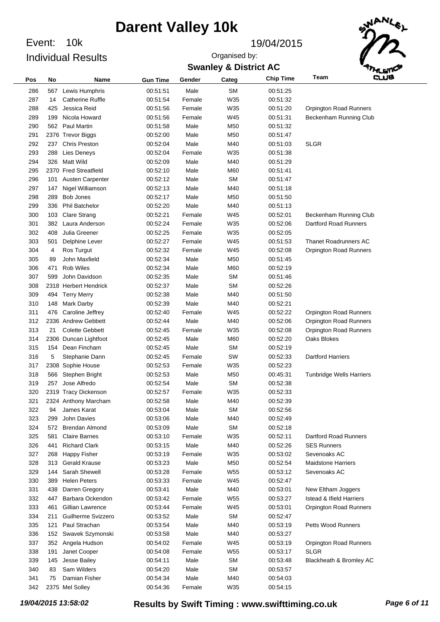Event: 10k Individual Results

#### Event: 19/04/2015

Organised by:



### **Swanley & District AC**

| Pos | No  | Name                    | <b>Gun Time</b> | Gender | Categ     | <b>Chip Time</b> | Team                                | cus |
|-----|-----|-------------------------|-----------------|--------|-----------|------------------|-------------------------------------|-----|
| 286 | 567 | Lewis Humphris          | 00:51:51        | Male   | <b>SM</b> | 00:51:25         |                                     |     |
| 287 | 14  | <b>Catherine Ruffle</b> | 00:51:54        | Female | W35       | 00:51:32         |                                     |     |
| 288 | 425 | Jessica Reid            | 00:51:56        | Female | W35       | 00:51:20         | Orpington Road Runners              |     |
| 289 | 199 | Nicola Howard           | 00:51:56        | Female | W45       | 00:51:31         | Beckenham Running Club              |     |
| 290 | 562 | <b>Paul Martin</b>      | 00:51:58        | Male   | M50       | 00:51:32         |                                     |     |
| 291 |     | 2376 Trevor Biggs       | 00:52:00        | Male   | M50       | 00:51:47         |                                     |     |
| 292 | 237 | <b>Chris Preston</b>    | 00:52:04        | Male   | M40       | 00:51:03         | <b>SLGR</b>                         |     |
| 293 | 288 | Lies Deneys             | 00:52:04        | Female | W35       | 00:51:38         |                                     |     |
| 294 | 326 | <b>Matt Wild</b>        | 00:52:09        | Male   | M40       | 00:51:29         |                                     |     |
| 295 |     | 2370 Fred Streatfield   | 00:52:10        | Male   | M60       | 00:51:41         |                                     |     |
| 296 | 101 | Austen Carpenter        | 00:52:12        | Male   | <b>SM</b> | 00:51:47         |                                     |     |
| 297 | 147 | Nigel Williamson        | 00:52:13        | Male   | M40       | 00:51:18         |                                     |     |
| 298 | 289 | Bob Jones               | 00:52:17        | Male   | M50       | 00:51:50         |                                     |     |
| 299 | 336 | <b>Phil Batchelor</b>   | 00:52:20        | Male   | M40       | 00:51:13         |                                     |     |
| 300 |     |                         | 00:52:21        | Female | W45       | 00:52:01         |                                     |     |
|     | 103 | <b>Clare Strang</b>     |                 |        |           |                  | Beckenham Running Club              |     |
| 301 | 382 | Laura Anderson          | 00:52:24        | Female | W35       | 00:52:06         | Dartford Road Runners               |     |
| 302 | 408 | Julia Greener           | 00:52:25        | Female | W35       | 00:52:05         |                                     |     |
| 303 | 501 | Delphine Lever          | 00:52:27        | Female | W45       | 00:51:53         | <b>Thanet Roadrunners AC</b>        |     |
| 304 | 4   | Ros Turgut              | 00:52:32        | Female | W45       | 00:52:08         | <b>Orpington Road Runners</b>       |     |
| 305 | 89  | John Maxfield           | 00:52:34        | Male   | M50       | 00:51:45         |                                     |     |
| 306 | 471 | <b>Rob Wiles</b>        | 00:52:34        | Male   | M60       | 00:52:19         |                                     |     |
| 307 | 599 | John Davidson           | 00:52:35        | Male   | <b>SM</b> | 00:51:46         |                                     |     |
| 308 |     | 2318 Herbert Hendrick   | 00:52:37        | Male   | <b>SM</b> | 00:52:26         |                                     |     |
| 309 | 494 | <b>Terry Merry</b>      | 00:52:38        | Male   | M40       | 00:51:50         |                                     |     |
| 310 | 148 | <b>Mark Darby</b>       | 00:52:39        | Male   | M40       | 00:52:21         |                                     |     |
| 311 | 476 | Caroline Jeffrey        | 00:52:40        | Female | W45       | 00:52:22         | Orpington Road Runners              |     |
| 312 |     | 2336 Andrew Gebbett     | 00:52:44        | Male   | M40       | 00:52:06         | <b>Orpington Road Runners</b>       |     |
| 313 | 21  | <b>Colette Gebbett</b>  | 00:52:45        | Female | W35       | 00:52:08         | <b>Orpington Road Runners</b>       |     |
| 314 |     | 2306 Duncan Lightfoot   | 00:52:45        | Male   | M60       | 00:52:20         | Oaks Blokes                         |     |
| 315 | 154 | Dean Fincham            | 00:52:45        | Male   | <b>SM</b> | 00:52:19         |                                     |     |
| 316 | 5   | Stephanie Dann          | 00:52:45        | Female | SW        | 00:52:33         | <b>Dartford Harriers</b>            |     |
| 317 |     | 2308 Sophie House       | 00:52:53        | Female | W35       | 00:52:23         |                                     |     |
| 318 | 566 | Stephen Bright          | 00:52:53        | Male   | M50       | 00:45:31         | <b>Tunbridge Wells Harriers</b>     |     |
| 319 | 257 | Jose Alfredo            | 00:52:54        | Male   | <b>SM</b> | 00:52:38         |                                     |     |
| 320 |     | 2319 Tracy Dickenson    | 00:52:57        | Female | W35       | 00:52:33         |                                     |     |
| 321 |     | 2324 Anthony Marcham    | 00:52:58        | Male   | M40       | 00:52:39         |                                     |     |
| 322 | 94  | James Karat             | 00:53:04        | Male   | <b>SM</b> | 00:52:56         |                                     |     |
| 323 | 299 | John Davies             | 00:53:06        | Male   | M40       | 00:52:49         |                                     |     |
| 324 |     | 572 Brendan Almond      | 00:53:09        | Male   | <b>SM</b> | 00:52:18         |                                     |     |
| 325 | 581 | <b>Claire Barnes</b>    | 00:53:10        | Female | W35       | 00:52:11         | Dartford Road Runners               |     |
| 326 | 441 | <b>Richard Clark</b>    | 00:53:15        | Male   | M40       | 00:52:26         | <b>SES Runners</b>                  |     |
| 327 | 268 | <b>Happy Fisher</b>     | 00:53:19        | Female | W35       | 00:53:02         | Sevenoaks AC                        |     |
| 328 | 313 | Gerald Krause           | 00:53:23        | Male   | M50       | 00:52:54         | <b>Maidstone Harriers</b>           |     |
| 329 | 144 | Sarah Shewell           | 00:53:28        | Female | W55       | 00:53:12         | Sevenoaks AC                        |     |
| 330 | 389 | <b>Helen Peters</b>     | 00:53:33        | Female | W45       | 00:52:47         |                                     |     |
| 331 | 438 | Darren Gregory          | 00:53:41        | Male   | M40       | 00:53:01         | New Eltham Joggers                  |     |
| 332 |     | 447 Barbara Ockendon    | 00:53:42        | Female | W55       | 00:53:27         | <b>Istead &amp; Ifield Harriers</b> |     |
| 333 | 461 | Gillian Lawrence        | 00:53:44        | Female | W45       | 00:53:01         | <b>Orpington Road Runners</b>       |     |
| 334 | 211 | Guilherme Svizzero      | 00:53:52        | Male   | <b>SM</b> | 00:52:47         |                                     |     |
| 335 | 121 | Paul Strachan           | 00:53:54        | Male   | M40       | 00:53:19         | <b>Petts Wood Runners</b>           |     |
| 336 | 152 | Swavek Szymonski        | 00:53:58        | Male   | M40       | 00:53:27         |                                     |     |
| 337 |     | 352 Angela Hudson       | 00:54:02        | Female | W45       | 00:53:19         | <b>Orpington Road Runners</b>       |     |
| 338 | 191 | Janet Cooper            | 00:54:08        | Female | W55       | 00:53:17         | <b>SLGR</b>                         |     |
| 339 | 145 | Jesse Bailey            | 00:54:11        | Male   | <b>SM</b> | 00:53:48         | Blackheath & Bromley AC             |     |
| 340 | 83  | Sam Wilders             | 00:54:20        | Male   | <b>SM</b> | 00:53:57         |                                     |     |
| 341 | 75  | Damian Fisher           |                 | Male   | M40       | 00:54:03         |                                     |     |
| 342 |     |                         | 00:54:34        | Female | W35       |                  |                                     |     |
|     |     | 2375 Mel Solley         | 00:54:36        |        |           | 00:54:15         |                                     |     |

*19/04/2015 13:58:02* **Results by Swift Timing : www.swifttiming.co.uk** *Page 6 of 11*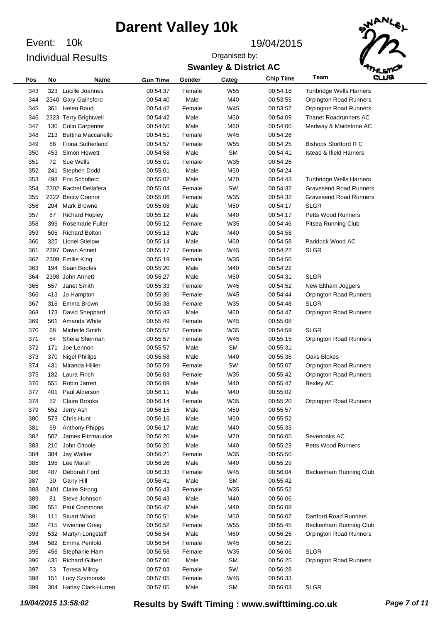Event: 10k Individual Results

#### Event: 19/04/2015

Organised by:

### **Swanley & District AC**



| Pos | No   | Name                       | <b>Gun Time</b>      | Gender       | Categ           | <b>Chip Time</b> | Team                                | وسته |
|-----|------|----------------------------|----------------------|--------------|-----------------|------------------|-------------------------------------|------|
| 343 |      | 323 Lucille Joannes        | 00:54:37             | Female       | W <sub>55</sub> | 00:54:18         | <b>Tunbridge Wells Harriers</b>     |      |
| 344 |      | 2340 Gary Gainsford        | 00:54:40             | Male         | M40             | 00:53:55         | <b>Orpington Road Runners</b>       |      |
| 345 | 361  | Helen Boud                 | 00:54:42             | Female       | W45             | 00:53:57         | <b>Orpington Road Runners</b>       |      |
| 346 |      | 2323 Terry Brightwell      | 00:54:42             | Male         | M60             | 00:54:09         | <b>Thanet Roadrunners AC</b>        |      |
| 347 | 130  | Colin Carpenter            | 00:54:50             | Male         | M60             | 00:54:00         | Medway & Maidstone AC               |      |
| 348 | 213  | <b>Bettina Maccariello</b> | 00:54:51             | Female       | W45             | 00:54:26         |                                     |      |
| 349 | 86   | <b>Fiona Sutherland</b>    | 00:54:57             | Female       | W <sub>55</sub> | 00:54:25         | <b>Bishops Stortford R C</b>        |      |
| 350 | 453  | Simon Hewett               | 00:54:58             | Male         | <b>SM</b>       | 00:54:41         | <b>Istead &amp; Ifield Harriers</b> |      |
| 351 | 72   | Sue Wells                  | 00:55:01             | Female       | W35             | 00:54:26         |                                     |      |
| 352 | 241  | Stephen Dodd               | 00:55:01             | Male         | M50             | 00:54:24         |                                     |      |
| 353 | 498  | Eric Schofield             | 00:55:02             | Male         | M70             | 00:54:43         | Tunbridge Wells Harriers            |      |
| 354 |      | 2302 Rachel Dellafera      | 00:55:04             | Female       | SW              | 00:54:32         | <b>Gravesend Road Runners</b>       |      |
| 355 |      | 2322 Beccy Connor          | 00:55:06             | Female       | W35             | 00:54:32         | <b>Gravesend Road Runners</b>       |      |
| 356 | 204  | Mark Browne                | 00:55:08             | Male         | M50             | 00:54:17         | <b>SLGR</b>                         |      |
| 357 | 87   | <b>Richard Hopley</b>      | 00:55:12             | Male         | M40             | 00:54:17         | <b>Petts Wood Runners</b>           |      |
| 358 | 395  | <b>Rosemarie Fuller</b>    | 00:55:12             | Female       | W35             | 00:54:46         | Pitsea Running Club                 |      |
| 359 | 505  | <b>Richard Belton</b>      | 00:55:13             | Male         | M40             | 00:54:58         |                                     |      |
| 360 | 325  | <b>Lionel Stielow</b>      | 00:55:14             | Male         | M60             | 00:54:58         | Paddock Wood AC                     |      |
| 361 |      | 2397 Dawn Annett           | 00:55:17             | Female       | W45             | 00:54:22         | <b>SLGR</b>                         |      |
| 362 |      |                            | 00:55:19             | Female       | W35             | 00:54:50         |                                     |      |
|     |      | 2309 Emilie King           |                      |              |                 |                  |                                     |      |
| 363 | 194  | Sean Bootes                | 00:55:20<br>00:55:27 | Male<br>Male | M40             | 00:54:22         | <b>SLGR</b>                         |      |
| 364 |      | 2398 John Annett           |                      | Female       | M50             | 00:54:31         | New Eltham Joggers                  |      |
| 365 | 557  | Janet Smith                | 00:55:33             |              | W45             | 00:54:52         |                                     |      |
| 366 | 413  | Jo Hampton                 | 00:55:36             | Female       | W45             | 00:54:44         | <b>Orpington Road Runners</b>       |      |
| 367 | 316  | Emma Brown                 | 00:55:38             | Female       | W35             | 00:54:48         | <b>SLGR</b>                         |      |
| 368 | 173  | David Sheppard             | 00:55:43             | Male         | M60             | 00:54:47         | <b>Orpington Road Runners</b>       |      |
| 369 | 561  | Amanda White               | 00:55:49             | Female       | W45             | 00:55:08         |                                     |      |
| 370 | 68   | Michelle Smith             | 00:55:52             | Female       | W35             | 00:54:59         | <b>SLGR</b>                         |      |
| 371 | 54   | Sheila Sherman             | 00:55:57             | Female       | W45             | 00:55:15         | <b>Orpington Road Runners</b>       |      |
| 372 | 171  | Joe Lennon                 | 00:55:57             | Male         | SΜ              | 00:55:31         |                                     |      |
| 373 | 370  | <b>Nigel Phillips</b>      | 00:55:58             | Male         | M40             | 00:55:36         | Oaks Blokes                         |      |
| 374 | 431  | Miranda Hillier            | 00:55:59             | Female       | SW              | 00:55:07         | <b>Orpington Road Runners</b>       |      |
| 375 | 182  | Laura Finch                | 00:56:03             | Female       | W35             | 00:55:42         | <b>Orpington Road Runners</b>       |      |
| 376 | 555  | Robin Jarrett              | 00:56:09             | Male         | M40             | 00:55:47         | <b>Bexley AC</b>                    |      |
| 377 | 401  | Paul Alderson              | 00:56:11             | Male         | M40             | 00:55:02         |                                     |      |
| 378 | 52   | <b>Claire Brooks</b>       | 00:56:14             | Female       | W35             | 00:55:20         | <b>Orpington Road Runners</b>       |      |
| 379 | 552  | Jerry Ash                  | 00:56:15             | Male         | M50             | 00:55:57         |                                     |      |
| 380 | 573  | <b>Chris Hunt</b>          | 00:56:16             | Male         | M50             | 00:55:52         |                                     |      |
| 381 | 59   | Anthony Phipps             | 00:56:17             | Male         | M40             | 00:55:33         |                                     |      |
| 382 | 507  | James Fitzmaurice          | 00:56:20             | Male         | M70             | 00:56:05         | Sevenoaks AC                        |      |
| 383 | 210  | John O'toole               | 00:56:20             | Male         | M40             | 00:55:23         | <b>Petts Wood Runners</b>           |      |
| 384 | 384  | Jay Walker                 | 00:56:21             | Female       | W35             | 00:55:50         |                                     |      |
| 385 | 195  | Lee Marsh                  | 00:56:26             | Male         | M40             | 00:55:29         |                                     |      |
| 386 | 487  | Deborah Ford               | 00:56:33             | Female       | W45             | 00:56:04         | Beckenham Running Club              |      |
| 387 | 30   | <b>Garry Hill</b>          | 00:56:41             | Male         | <b>SM</b>       | 00:55:42         |                                     |      |
| 388 | 2401 | <b>Claire Strong</b>       | 00:56:43             | Female       | W35             | 00:55:52         |                                     |      |
| 389 | 81   | Steve Johnson              | 00:56:43             | Male         | M40             | 00:56:06         |                                     |      |
| 390 | 551  | Paul Commons               | 00:56:47             | Male         | M40             | 00:56:08         |                                     |      |
| 391 | 111  | <b>Stuart Wood</b>         | 00:56:51             | Male         | M50             | 00:56:07         | Dartford Road Runners               |      |
| 392 | 415  | Vivienne Greig             | 00:56:52             | Female       | W55             | 00:55:45         | Beckenham Running Club              |      |
| 393 | 532  | Martyn Longstaff           | 00:56:54             | Male         | M60             | 00:56:26         | Orpington Road Runners              |      |
| 394 | 582  | Emma Penfold               | 00:56:54             | Female       | W45             | 00:56:21         |                                     |      |
| 395 | 456  | Stephanie Ham              | 00:56:58             | Female       | W35             | 00:56:06         | <b>SLGR</b>                         |      |
| 396 | 435  | <b>Richard Gilbert</b>     | 00:57:00             | Male         | <b>SM</b>       | 00:56:25         | <b>Orpington Road Runners</b>       |      |
| 397 | 53   | <b>Teresa Milroy</b>       | 00:57:03             | Female       | SW              | 00:56:28         |                                     |      |
| 398 | 151  | Lucy Szymonski             | 00:57:05             | Female       | W45             | 00:56:33         |                                     |      |
| 399 | 304  | Harley Clark-Hurren        | 00:57:05             | Male         | <b>SM</b>       | 00:56:03         | <b>SLGR</b>                         |      |

*19/04/2015 13:58:02* **Results by Swift Timing : www.swifttiming.co.uk** *Page 7 of 11*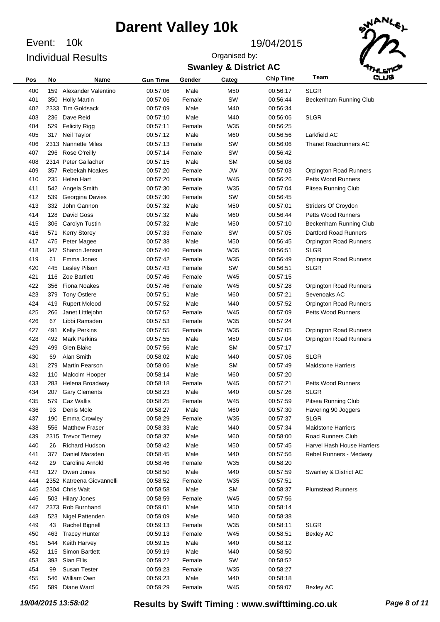Event: 10k Individual Results

#### Event: 19/04/2015





| Pos        | No        | Name                                  | <b>Gun Time</b>      | Gender         | Categ            | <b>Chip Time</b>     | Team                          | وسه |
|------------|-----------|---------------------------------------|----------------------|----------------|------------------|----------------------|-------------------------------|-----|
| 400        | 159       | Alexander Valentino                   | 00:57:06             | Male           | M50              | 00:56:17             | <b>SLGR</b>                   |     |
| 401        | 350       | <b>Holly Martin</b>                   | 00:57:06             | Female         | SW               | 00:56:44             | Beckenham Running Club        |     |
| 402        |           | 2333 Tim Goldsack                     | 00:57:09             | Male           | M40              | 00:56:34             |                               |     |
| 403        | 236       | Dave Reid                             | 00:57:10             | Male           | M40              | 00:56:06             | <b>SLGR</b>                   |     |
| 404        | 529       | <b>Felicity Rigg</b>                  | 00:57:11             | Female         | W35              | 00:56:25             |                               |     |
| 405        | 317       | Neil Taylor                           | 00:57:12             | Male           | M60              | 00:56:56             | Larkfield AC                  |     |
| 406        |           | 2313 Nannette Miles                   | 00:57:13             | Female         | SW               | 00:56:06             | <b>Thanet Roadrunners AC</b>  |     |
| 407        | 296       | Rose O'reilly                         | 00:57:14             | Female         | SW               | 00:56:42             |                               |     |
| 408        |           | 2314 Peter Gallacher                  | 00:57:15             | Male           | SΜ               | 00:56:08             |                               |     |
| 409        | 357       | <b>Rebekah Noakes</b>                 | 00:57:20             | Female         | JW               | 00:57:03             | <b>Orpington Road Runners</b> |     |
| 410        | 235       | Helen Hart                            | 00:57:20             | Female         | W45              | 00:56:26             | <b>Petts Wood Runners</b>     |     |
| 411        |           | 542 Angela Smith                      | 00:57:30             | Female         | W35              | 00:57:04             | Pitsea Running Club           |     |
| 412        | 539       | Georgina Davies                       | 00:57:30             | Female         | SW               | 00:56:45             |                               |     |
| 413        | 332       | John Gannon                           | 00:57:32             | Male           | M50              | 00:57:01             | Striders Of Croydon           |     |
| 414        | 128       | David Goss                            | 00:57:32             | Male           | M60              | 00:56:44             | <b>Petts Wood Runners</b>     |     |
| 415        | 306       | Carolyn Tustin                        | 00:57:32             | Male           | M50              | 00:57:10             | Beckenham Running Club        |     |
| 416        | 571       | <b>Kerry Storey</b>                   | 00:57:33             | Female         | SW               | 00:57:05             | <b>Dartford Road Runners</b>  |     |
| 417        | 475       | Peter Magee                           | 00:57:38             | Male           | M50              | 00:56:45             | Orpington Road Runners        |     |
| 418        | 347       | Sharon Jenson                         | 00:57:40             | Female         | W35              | 00:56:51             | SLGR                          |     |
| 419        | 61        | Emma Jones                            | 00:57:42             | Female         | W35              | 00:56:49             | Orpington Road Runners        |     |
| 420        | 445       | Lesley Pilson                         | 00:57:43             | Female         | SW               | 00:56:51             | <b>SLGR</b>                   |     |
| 421        | 116       | Zoe Bartlett                          | 00:57:46             | Female         | W45              | 00:57:15             |                               |     |
| 422        | 356       | <b>Fiona Noakes</b>                   | 00:57:46             | Female         | W45              | 00:57:28             | <b>Orpington Road Runners</b> |     |
| 423        | 379       | <b>Tony Ostlere</b>                   | 00:57:51             | Male           | M60              | 00:57:21             | Sevenoaks AC                  |     |
| 424        | 419       | <b>Rupert Mcleod</b>                  | 00:57:52             | Male           | M40              | 00:57:52             | Orpington Road Runners        |     |
| 425        | 266       | Janet Littlejohn                      | 00:57:52             | Female         | W45              | 00:57:09             | <b>Petts Wood Runners</b>     |     |
| 426        | 67        | Libbi Ramsden                         | 00:57:53             | Female         | W35              | 00:57:24             |                               |     |
| 427        | 491       | <b>Kelly Perkins</b>                  | 00:57:55             | Female         | W35              | 00:57:05             | Orpington Road Runners        |     |
| 428        | 492       | <b>Mark Perkins</b>                   | 00:57:55             | Male           | M50              | 00:57:04             | Orpington Road Runners        |     |
| 429        | 499       | Glen Blake                            | 00:57:56             | Male           | SΜ               | 00:57:17             |                               |     |
| 430        | 69        | Alan Smith                            | 00:58:02             | Male           | M40              | 00:57:06             | <b>SLGR</b>                   |     |
| 431        | 279       | <b>Martin Pearson</b>                 | 00:58:06             | Male           | SΜ               | 00:57:49             | <b>Maidstone Harriers</b>     |     |
| 432        | 110       | Malcolm Hooper                        | 00:58:14             | Male           | M60              | 00:57:20             |                               |     |
| 433        | 283       | Helena Broadway                       | 00:58:18             | Female         | W45              | 00:57:21             | <b>Petts Wood Runners</b>     |     |
| 434        | 207       | <b>Gary Clements</b>                  | 00:58:23             | Male           | M40              | 00:57:26             | <b>SLGR</b>                   |     |
| 435        |           | 579 Caz Wallis                        | 00:58:25             | Female         | W45              | 00:57:59             | Pitsea Running Club           |     |
| 436        | 93        | Denis Mole                            | 00:58:27             | Male           | M60              | 00:57:30             | Havering 90 Joggers           |     |
| 437        | 190       | <b>Emma Crowley</b>                   | 00:58:29             | Female         | W35              | 00:57:37             | <b>SLGR</b>                   |     |
| 438        | 556       | <b>Matthew Fraser</b>                 | 00:58:33             | Male           | M40              | 00:57:34             | <b>Maidstone Harriers</b>     |     |
| 439        |           | 2315 Trevor Tierney                   | 00:58:37             | Male           | M60              | 00:58:00             | Road Runners Club             |     |
| 440        | 26        | Richard Hudson                        | 00:58:42             | Male           | M50              | 00:57:45             | Harvel Hash House Harriers    |     |
| 441        | 377       | Daniel Marsden                        | 00:58:45             | Male           | M40              | 00:57:56             | Rebel Runners - Medway        |     |
| 442        | 29        | Caroline Arnold                       | 00:58:46             | Female         | W35              | 00:58:20             |                               |     |
| 443        | 127       | Owen Jones                            | 00:58:50<br>00:58:52 | Male           | M40              | 00:57:59             | Swanley & District AC         |     |
| 444        |           | 2352 Katreena Giovannelli             |                      | Female         | W35              | 00:57:51             |                               |     |
| 445<br>446 |           | 2304 Chris Wait                       | 00:58:58<br>00:58:59 | Male<br>Female | <b>SM</b><br>W45 | 00:58:37<br>00:57:56 | <b>Plumstead Runners</b>      |     |
| 447        |           | 503 Hilary Jones<br>2373 Rob Burnhand | 00:59:01             | Male           | M50              | 00:58:14             |                               |     |
| 448        |           | Nigel Pattenden                       | 00:59:09             | Male           | M60              | 00:58:38             |                               |     |
| 449        | 523<br>43 | Rachel Bignell                        | 00:59:13             | Female         | W35              | 00:58:11             | <b>SLGR</b>                   |     |
| 450        | 463       | <b>Tracey Hunter</b>                  | 00:59:13             | Female         | W45              | 00:58:51             | <b>Bexley AC</b>              |     |
| 451        | 544       | Keith Harvey                          | 00:59:15             | Male           | M40              | 00:58:12             |                               |     |
| 452        | 115       | Simon Bartlett                        | 00:59:19             | Male           | M40              | 00:58:50             |                               |     |
| 453        | 393       | Sian Ellis                            | 00:59:22             | Female         | SW               | 00:58:52             |                               |     |
| 454        | 99        | Susan Tester                          | 00:59:23             | Female         | W35              | 00:58:27             |                               |     |
| 455        | 546       | William Own                           | 00:59:23             | Male           | M40              | 00:58:18             |                               |     |
| 456        | 589       | Diane Ward                            | 00:59:29             | Female         | W45              | 00:59:07             | <b>Bexley AC</b>              |     |
|            |           |                                       |                      |                |                  |                      |                               |     |

*19/04/2015 13:58:02* **Results by Swift Timing : www.swifttiming.co.uk** *Page 8 of 11*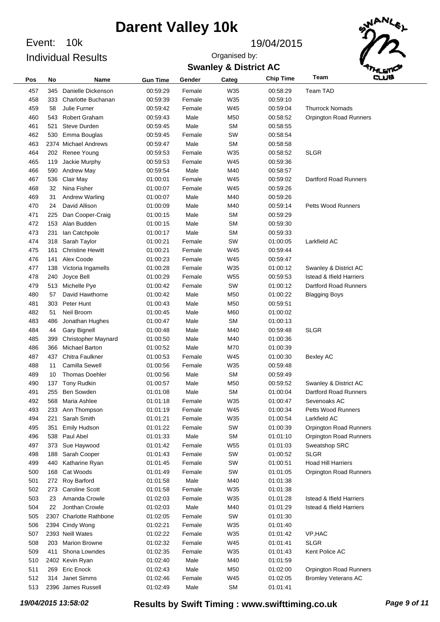Event: 10k Individual Results

#### Event: 19/04/2015

**Swanley & District AC** Organised by:



| Pos | No  | Name                    | <b>Gun Time</b> | Gender | Categ           | <b>Chip Time</b> | Team                                | وسته |
|-----|-----|-------------------------|-----------------|--------|-----------------|------------------|-------------------------------------|------|
| 457 | 345 | Danielle Dickenson      | 00:59:29        | Female | W35             | 00:58:29         | Team TAD                            |      |
| 458 | 333 | Charlotte Buchanan      | 00:59:39        | Female | W35             | 00:59:10         |                                     |      |
| 459 | 58  | Julie Furner            | 00:59:42        | Female | W45             | 00:59:04         | <b>Thurrock Nomads</b>              |      |
| 460 | 543 | <b>Robert Graham</b>    | 00:59:43        | Male   | M50             | 00:58:52         | <b>Orpington Road Runners</b>       |      |
| 461 | 521 | Steve Durden            | 00:59:45        | Male   | <b>SM</b>       | 00:58:55         |                                     |      |
| 462 | 530 | Emma Bouglas            | 00:59:45        | Female | SW              | 00:58:54         |                                     |      |
| 463 |     | 2374 Michael Andrews    | 00:59:47        | Male   | <b>SM</b>       | 00:58:58         |                                     |      |
| 464 |     | 202 Renee Young         | 00:59:53        | Female | W35             | 00:58:52         | <b>SLGR</b>                         |      |
| 465 | 119 | Jackie Murphy           | 00:59:53        | Female | W45             | 00:59:36         |                                     |      |
| 466 | 590 | <b>Andrew May</b>       | 00:59:54        | Male   | M40             | 00:58:57         |                                     |      |
| 467 | 536 | Clair May               | 01:00:01        | Female | W45             | 00:59:02         | Dartford Road Runners               |      |
| 468 | 32  | Nina Fisher             | 01:00:07        | Female | W45             | 00:59:26         |                                     |      |
| 469 | 31  | Andrew Warling          | 01:00:07        | Male   | M40             | 00:59:26         |                                     |      |
| 470 | 24  | David Allison           | 01:00:09        | Male   | M40             | 00:59:14         | <b>Petts Wood Runners</b>           |      |
| 471 | 225 | Dan Cooper-Craig        | 01:00:15        | Male   | <b>SM</b>       | 00:59:29         |                                     |      |
| 472 | 153 | Alan Budden             | 01:00:15        | Male   | <b>SM</b>       | 00:59:30         |                                     |      |
| 473 | 231 | lan Catchpole           | 01:00:17        | Male   | <b>SM</b>       | 00:59:33         |                                     |      |
| 474 | 318 | Sarah Taylor            | 01:00:21        | Female | SW              | 01:00:05         | Larkfield AC                        |      |
| 475 | 161 | <b>Christine Hewitt</b> | 01:00:21        | Female | W45             | 00:59:44         |                                     |      |
| 476 | 141 | Alex Coode              | 01:00:23        | Female | W45             | 00:59:47         |                                     |      |
| 477 | 138 | Victoria Ingamells      | 01:00:28        | Female | W35             | 01:00:12         | Swanley & District AC               |      |
| 478 | 240 | Joyce Bell              | 01:00:29        | Female | W <sub>55</sub> | 00:59:53         | <b>Istead &amp; Ifield Harriers</b> |      |
| 479 | 513 | Michelle Pye            | 01:00:42        | Female | SW              | 01:00:12         | Dartford Road Runners               |      |
| 480 | 57  | David Hawthorne         | 01:00:42        | Male   | M50             | 01:00:22         | <b>Blagging Boys</b>                |      |
| 481 | 303 | Peter Hunt              | 01:00:43        | Male   | M50             | 00:59:51         |                                     |      |
| 482 | 51  | Neil Broom              | 01:00:45        | Male   | M60             | 01:00:02         |                                     |      |
| 483 | 486 | Jonathan Hughes         | 01:00:47        | Male   | <b>SM</b>       | 01:00:13         |                                     |      |
| 484 | 44  | <b>Gary Bignell</b>     | 01:00:48        | Male   | M40             | 00:59:48         | <b>SLGR</b>                         |      |
| 485 | 399 | Christopher Maynard     | 01:00:50        | Male   | M40             | 01:00:36         |                                     |      |
| 486 | 366 | <b>Michael Barton</b>   | 01:00:52        | Male   | M70             | 01:00:39         |                                     |      |
| 487 | 437 | Chitra Faulkner         | 01:00:53        | Female | W45             | 01:00:30         | Bexley AC                           |      |
| 488 | 11  | Camilla Sewell          | 01:00:56        | Female | W35             | 00:59:48         |                                     |      |
| 489 | 10  | <b>Thomas Doehler</b>   | 01:00:56        | Male   | <b>SM</b>       | 00:59:49         |                                     |      |
| 490 | 137 | Tony Rudkin             | 01:00:57        | Male   | M50             | 00:59:52         | Swanley & District AC               |      |
| 491 | 255 | <b>Ben Sowden</b>       | 01:01:08        | Male   | <b>SM</b>       | 01:00:04         | Dartford Road Runners               |      |
| 492 | 568 | Maria Ashlee            | 01:01:18        | Female | W35             | 01:00:47         | Sevenoaks AC                        |      |
| 493 | 233 | Ann Thompson            | 01:01:19        | Female | W45             | 01:00:34         | Petts Wood Runners                  |      |
| 494 | 221 | Sarah Smith             | 01:01:21        | Female | W35             | 01:00:54         | Larkfield AC                        |      |
| 495 | 351 | Emily Hudson            | 01:01:22        | Female | SW              | 01:00:39         | <b>Orpington Road Runners</b>       |      |
| 496 | 538 | Paul Abel               | 01:01:33        | Male   | <b>SM</b>       | 01:01:10         | <b>Orpington Road Runners</b>       |      |
| 497 | 373 | Sue Haywood             | 01:01:42        | Female | W55             | 01:01:03         | Sweatshop SRC                       |      |
| 498 | 188 | Sarah Cooper            | 01:01:43        | Female | SW              | 01:00:52         | <b>SLGR</b>                         |      |
| 499 | 440 | Katharine Ryan          | 01:01:45        | Female | SW              | 01:00:51         | <b>Hoad Hill Harriers</b>           |      |
| 500 | 168 | Cat Woods               | 01:01:49        | Female | SW              | 01:01:05         | Orpington Road Runners              |      |
| 501 | 272 | Roy Barford             | 01:01:58        | Male   | M40             | 01:01:38         |                                     |      |
| 502 | 273 | <b>Caroline Scott</b>   | 01:01:58        | Female | W35             | 01:01:38         |                                     |      |
| 503 | 23  | Amanda Crowle           | 01:02:03        | Female | W35             | 01:01:28         | <b>Istead &amp; Ifield Harriers</b> |      |
| 504 | 22  | Jonthan Crowle          | 01:02:03        | Male   | M40             | 01:01:29         | <b>Istead &amp; Ifield Harriers</b> |      |
| 505 |     | 2307 Charlotte Rathbone | 01:02:05        | Female | SW              | 01:01:30         |                                     |      |
| 506 |     | 2394 Cindy Wong         | 01:02:21        | Female | W35             | 01:01:40         |                                     |      |
| 507 |     | 2393 Neill Wates        | 01:02:22        | Female | W35             | 01:01:42         | VP, HAC                             |      |
| 508 | 203 | <b>Marion Browne</b>    | 01:02:32        | Female | W45             | 01:01:41         | <b>SLGR</b>                         |      |
| 509 | 411 | Shona Lowndes           | 01:02:35        | Female | W35             | 01:01:43         | Kent Police AC                      |      |
| 510 |     | 2402 Kevin Ryan         | 01:02:40        | Male   | M40             | 01:01:59         |                                     |      |
| 511 | 269 | <b>Eric Enock</b>       | 01:02:43        | Male   | M50             | 01:02:00         | <b>Orpington Road Runners</b>       |      |
| 512 | 314 | Janet Simms             | 01:02:46        | Female | W45             | 01:02:05         | <b>Bromley Veterans AC</b>          |      |
| 513 |     | 2396 James Russell      | 01:02:49        | Male   | <b>SM</b>       | 01:01:41         |                                     |      |
|     |     |                         |                 |        |                 |                  |                                     |      |

*19/04/2015 13:58:02* **Results by Swift Timing : www.swifttiming.co.uk** *Page 9 of 11*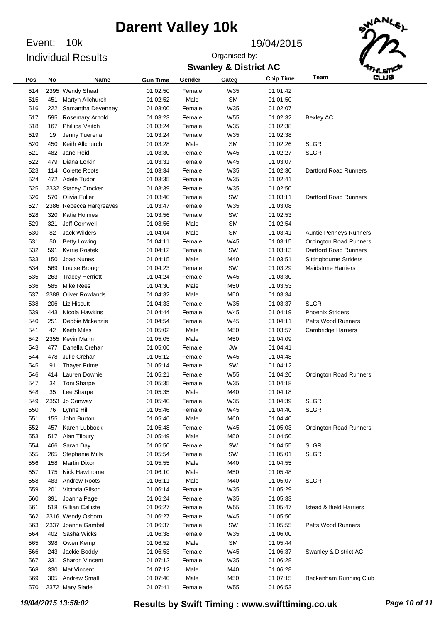Event: 10k Individual Results

#### Event: 19/04/2015

### **Swanley & District AC** Organised by:



| Pos | No  | Name                    | <b>Gun Time</b> | Gender | Categ     | <b>Chip Time</b> | Team                                | فسه |
|-----|-----|-------------------------|-----------------|--------|-----------|------------------|-------------------------------------|-----|
| 514 |     | 2395 Wendy Sheaf        | 01:02:50        | Female | W35       | 01:01:42         |                                     |     |
| 515 | 451 | Martyn Allchurch        | 01:02:52        | Male   | <b>SM</b> | 01:01:50         |                                     |     |
| 516 | 222 | Samantha Devenney       | 01:03:00        | Female | W35       | 01:02:07         |                                     |     |
| 517 | 595 | <b>Rosemary Arnold</b>  | 01:03:23        | Female | W55       | 01:02:32         | <b>Bexley AC</b>                    |     |
| 518 | 167 | Phillipa Veitch         | 01:03:24        | Female | W35       | 01:02:38         |                                     |     |
| 519 | 19  | Jenny Tuerena           | 01:03:24        | Female | W35       | 01:02:38         |                                     |     |
| 520 | 450 | Keith Allchurch         | 01:03:28        | Male   | <b>SM</b> | 01:02:26         | <b>SLGR</b>                         |     |
| 521 | 482 | Jane Reid               | 01:03:30        | Female | W45       | 01:02:27         | <b>SLGR</b>                         |     |
| 522 | 479 | Diana Lorkin            | 01:03:31        | Female | W45       | 01:03:07         |                                     |     |
| 523 | 114 | <b>Colette Roots</b>    | 01:03:34        | Female | W35       | 01:02:30         | Dartford Road Runners               |     |
| 524 |     | 472 Adele Tudor         | 01:03:35        | Female | W35       | 01:02:41         |                                     |     |
| 525 |     | 2332 Stacey Crocker     | 01:03:39        | Female | W35       | 01:02:50         |                                     |     |
| 526 |     | 570 Olivia Fuller       | 01:03:40        | Female | SW        | 01:03:11         | Dartford Road Runners               |     |
| 527 |     | 2386 Rebecca Hargreaves | 01:03:47        | Female | W35       | 01:03:08         |                                     |     |
| 528 | 320 | <b>Katie Holmes</b>     | 01:03:56        | Female | SW        | 01:02:53         |                                     |     |
| 529 | 321 | Jeff Cornwell           | 01:03:56        | Male   | <b>SM</b> | 01:02:54         |                                     |     |
| 530 | 82  | <b>Jack Wilders</b>     | 01:04:04        | Male   | <b>SM</b> | 01:03:41         | Auntie Penneys Runners              |     |
| 531 | 50  | <b>Betty Lowing</b>     | 01:04:11        | Female | W45       | 01:03:15         | <b>Orpington Road Runners</b>       |     |
| 532 | 591 | Kyrrie Rostek           | 01:04:12        | Female | SW        | 01:03:13         | Dartford Road Runners               |     |
| 533 | 150 | Joao Nunes              | 01:04:15        | Male   | M40       | 01:03:51         | Sittingbourne Striders              |     |
| 534 | 569 | Louise Brough           | 01:04:23        | Female | SW        | 01:03:29         | <b>Maidstone Harriers</b>           |     |
| 535 | 263 | <b>Tracey Herriett</b>  | 01:04:24        | Female | W45       | 01:03:30         |                                     |     |
| 536 | 585 | Mike Rees               | 01:04:30        | Male   | M50       | 01:03:53         |                                     |     |
| 537 |     | 2388 Oliver Rowlands    | 01:04:32        | Male   | M50       | 01:03:34         |                                     |     |
| 538 | 206 | Liz Hiscutt             | 01:04:33        | Female | W35       | 01:03:37         | <b>SLGR</b>                         |     |
| 539 | 443 | Nicola Hawkins          | 01:04:44        | Female | W45       | 01:04:19         | <b>Phoenix Striders</b>             |     |
| 540 | 251 | Debbie Mckenzie         | 01:04:54        | Female | W45       | 01:04:11         | <b>Petts Wood Runners</b>           |     |
| 541 | 42  | <b>Keith Miles</b>      | 01:05:02        | Male   | M50       | 01:03:57         | <b>Cambridge Harriers</b>           |     |
| 542 |     | 2355 Kevin Mahn         | 01:05:05        | Male   | M50       | 01:04:09         |                                     |     |
| 543 | 477 | Danella Crehan          | 01:05:06        | Female | <b>JW</b> | 01:04:41         |                                     |     |
| 544 | 478 | Julie Crehan            | 01:05:12        | Female | W45       | 01:04:48         |                                     |     |
| 545 | 91  | <b>Thayer Prime</b>     | 01:05:14        | Female | SW        | 01:04:12         |                                     |     |
| 546 | 414 | Lauren Downie           | 01:05:21        | Female | W55       | 01:04:26         | <b>Orpington Road Runners</b>       |     |
| 547 | 34  | <b>Toni Sharpe</b>      | 01:05:35        | Female | W35       | 01:04:18         |                                     |     |
| 548 | 35  | Lee Sharpe              | 01:05:35        | Male   | M40       | 01:04:18         |                                     |     |
| 549 |     | 2353 Jo Conway          | 01:05:40        | Female | W35       | 01:04:39         | <b>SLGR</b>                         |     |
| 550 | 76  | Lynne Hill              | 01:05:46        | Female | W45       | 01:04:40         | <b>SLGR</b>                         |     |
| 551 | 155 | John Burton             | 01:05:46        | Male   | M60       | 01:04:40         |                                     |     |
| 552 | 457 | Karen Lubbock           | 01:05:48        | Female | W45       | 01:05:03         | <b>Orpington Road Runners</b>       |     |
| 553 | 517 | Alan Tilbury            | 01:05:49        | Male   | M50       | 01:04:50         |                                     |     |
| 554 | 466 | Sarah Day               | 01:05:50        | Female | SW        | 01:04:55         | <b>SLGR</b>                         |     |
| 555 | 265 | <b>Stephanie Mills</b>  | 01:05:54        | Female | SW        | 01:05:01         | <b>SLGR</b>                         |     |
| 556 | 158 | <b>Martin Dixon</b>     | 01:05:55        | Male   | M40       | 01:04:55         |                                     |     |
| 557 | 175 | Nick Hawthorne          | 01:06:10        | Male   | M50       | 01:05:48         |                                     |     |
| 558 | 483 | <b>Andrew Roots</b>     | 01:06:11        | Male   | M40       | 01:05:07         | <b>SLGR</b>                         |     |
| 559 | 201 | Victoria Gilson         | 01:06:14        | Female | W35       | 01:05:29         |                                     |     |
| 560 | 391 | Joanna Page             | 01:06:24        | Female | W35       | 01:05:33         |                                     |     |
| 561 | 518 | <b>Gillian Calliste</b> | 01:06:27        | Female | W55       | 01:05:47         | <b>Istead &amp; Ifield Harriers</b> |     |
| 562 |     | 2316 Wendy Osborn       | 01:06:27        | Female | W45       | 01:05:50         |                                     |     |
| 563 |     | 2337 Joanna Gambell     | 01:06:37        | Female | SW        | 01:05:55         | Petts Wood Runners                  |     |
| 564 | 402 | Sasha Wicks             | 01:06:38        | Female | W35       | 01:06:00         |                                     |     |
| 565 | 398 | Owen Kemp               | 01:06:52        | Male   | SM        | 01:05:44         |                                     |     |
| 566 | 243 | Jackie Boddy            | 01:06:53        | Female | W45       | 01:06:37         | Swanley & District AC               |     |
| 567 | 331 | Sharon Vincent          | 01:07:12        | Female | W35       | 01:06:28         |                                     |     |
| 568 | 330 | <b>Mat Vincent</b>      | 01:07:12        | Male   | M40       | 01:06:28         |                                     |     |
| 569 | 305 | <b>Andrew Small</b>     | 01:07:40        | Male   | M50       | 01:07:15         | Beckenham Running Club              |     |
| 570 |     | 2372 Mary Slade         | 01:07:41        | Female | W55       | 01:06:53         |                                     |     |

*19/04/2015 13:58:02* **Results by Swift Timing : www.swifttiming.co.uk** *Page 10 of 11*